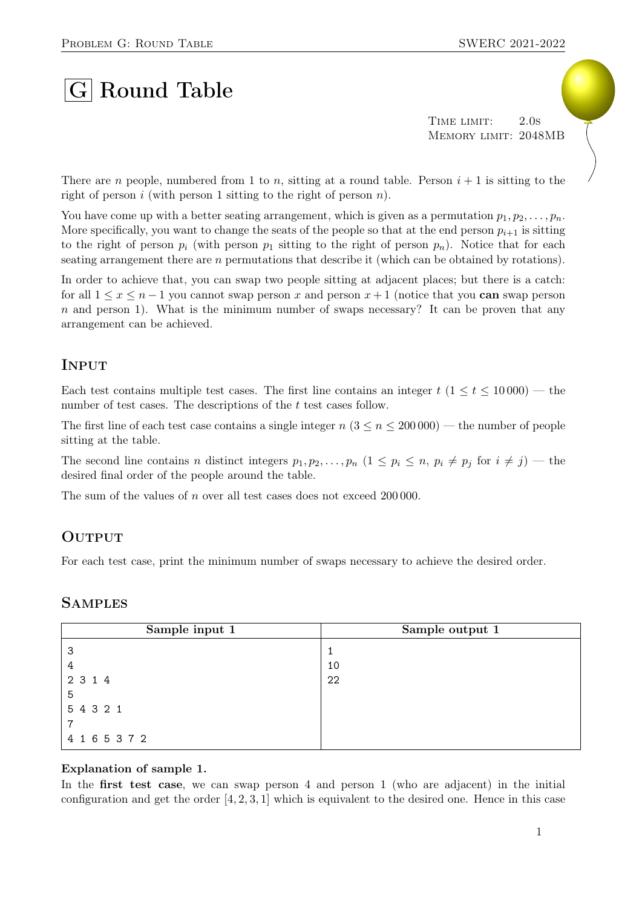# $|G|$  Round Table

TIME LIMIT: 2.0s Memory limit: 2048MB

There are n people, numbered from 1 to n, sitting at a round table. Person  $i + 1$  is sitting to the right of person i (with person 1 sitting to the right of person  $n$ ).

You have come up with a better seating arrangement, which is given as a permutation  $p_1, p_2, \ldots, p_n$ . More specifically, you want to change the seats of the people so that at the end person  $p_{i+1}$  is sitting to the right of person  $p_i$  (with person  $p_1$  sitting to the right of person  $p_n$ ). Notice that for each seating arrangement there are n permutations that describe it (which can be obtained by rotations).

In order to achieve that, you can swap two people sitting at adjacent places; but there is a catch: for all  $1 \leq x \leq n-1$  you cannot swap person x and person  $x+1$  (notice that you can swap person  $n$  and person 1). What is the minimum number of swaps necessary? It can be proven that any arrangement can be achieved.

## **INPUT**

Each test contains multiple test cases. The first line contains an integer  $t$  ( $1 \le t \le 10000$ ) — the number of test cases. The descriptions of the t test cases follow.

The first line of each test case contains a single integer  $n (3 \le n \le 200000)$  — the number of people sitting at the table.

The second line contains n distinct integers  $p_1, p_2, \ldots, p_n$   $(1 \leq p_i \leq n, p_i \neq p_j \text{ for } i \neq j)$  — the desired final order of the people around the table.

The sum of the values of n over all test cases does not exceed 200 000.

### **OUTPUT**

For each test case, print the minimum number of swaps necessary to achieve the desired order.

#### **SAMPLES**

| Sample input 1 | Sample output 1 |
|----------------|-----------------|
| -3             |                 |
| 4              | 10              |
| 2 3 1 4        | 22              |
| 5              |                 |
| 5 4 3 2 1      |                 |
|                |                 |
| 4 1 6 5 3 7 2  |                 |

#### Explanation of sample 1.

In the **first test case**, we can swap person 4 and person 1 (who are adjacent) in the initial configuration and get the order  $[4, 2, 3, 1]$  which is equivalent to the desired one. Hence in this case